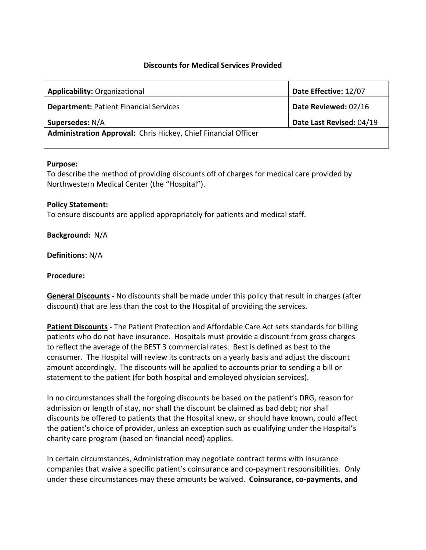# **Discounts for Medical Services Provided**

| Applicability: Organizational                                  | Date Effective: 12/07    |
|----------------------------------------------------------------|--------------------------|
| <b>Department: Patient Financial Services</b>                  | Date Reviewed: 02/16     |
| Supersedes: N/A                                                | Date Last Revised: 04/19 |
| Administration Approval: Chris Hickey, Chief Financial Officer |                          |

#### **Purpose:**

To describe the method of providing discounts off of charges for medical care provided by Northwestern Medical Center (the "Hospital").

# **Policy Statement:**

To ensure discounts are applied appropriately for patients and medical staff.

# **Background:** N/A

**Definitions:** N/A

#### **Procedure:**

**General Discounts** - No discounts shall be made under this policy that result in charges (after discount) that are less than the cost to the Hospital of providing the services.

**Patient Discounts -** The Patient Protection and Affordable Care Act sets standards for billing patients who do not have insurance. Hospitals must provide a discount from gross charges to reflect the average of the BEST 3 commercial rates. Best is defined as best to the consumer. The Hospital will review its contracts on a yearly basis and adjust the discount amount accordingly. The discounts will be applied to accounts prior to sending a bill or statement to the patient (for both hospital and employed physician services).

In no circumstances shall the forgoing discounts be based on the patient's DRG, reason for admission or length of stay, nor shall the discount be claimed as bad debt; nor shall discounts be offered to patients that the Hospital knew, or should have known, could affect the patient's choice of provider, unless an exception such as qualifying under the Hospital's charity care program (based on financial need) applies.

In certain circumstances, Administration may negotiate contract terms with insurance companies that waive a specific patient's coinsurance and co-payment responsibilities. Only under these circumstances may these amounts be waived. **Coinsurance, co-payments, and**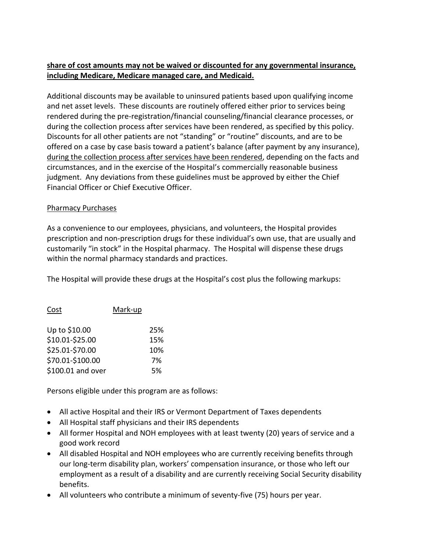# **share of cost amounts may not be waived or discounted for any governmental insurance, including Medicare, Medicare managed care, and Medicaid.**

Additional discounts may be available to uninsured patients based upon qualifying income and net asset levels. These discounts are routinely offered either prior to services being rendered during the pre-registration/financial counseling/financial clearance processes, or during the collection process after services have been rendered, as specified by this policy. Discounts for all other patients are not "standing" or "routine" discounts, and are to be offered on a case by case basis toward a patient's balance (after payment by any insurance), during the collection process after services have been rendered, depending on the facts and circumstances, and in the exercise of the Hospital's commercially reasonable business judgment. Any deviations from these guidelines must be approved by either the Chief Financial Officer or Chief Executive Officer.

# Pharmacy Purchases

As a convenience to our employees, physicians, and volunteers, the Hospital provides prescription and non-prescription drugs for these individual's own use, that are usually and customarily "in stock" in the Hospital pharmacy. The Hospital will dispense these drugs within the normal pharmacy standards and practices.

The Hospital will provide these drugs at the Hospital's cost plus the following markups:

| Cost              | Mark-up |     |
|-------------------|---------|-----|
| Up to \$10.00     |         | 25% |
| \$10.01-\$25.00   |         | 15% |
| \$25.01-\$70.00   |         | 10% |
| \$70.01-\$100.00  |         | 7%  |
| \$100.01 and over |         | 5%  |

Persons eligible under this program are as follows:

- All active Hospital and their IRS or Vermont Department of Taxes dependents
- All Hospital staff physicians and their IRS dependents
- All former Hospital and NOH employees with at least twenty (20) years of service and a good work record
- All disabled Hospital and NOH employees who are currently receiving benefits through our long-term disability plan, workers' compensation insurance, or those who left our employment as a result of a disability and are currently receiving Social Security disability benefits.
- All volunteers who contribute a minimum of seventy-five (75) hours per year.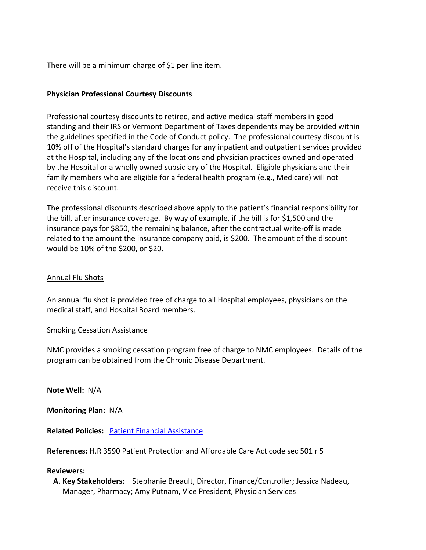There will be a minimum charge of \$1 per line item.

# **Physician Professional Courtesy Discounts**

Professional courtesy discounts to retired, and active medical staff members in good standing and their IRS or Vermont Department of Taxes dependents may be provided within the guidelines specified in the Code of Conduct policy. The professional courtesy discount is 10% off of the Hospital's standard charges for any inpatient and outpatient services provided at the Hospital, including any of the locations and physician practices owned and operated by the Hospital or a wholly owned subsidiary of the Hospital. Eligible physicians and their family members who are eligible for a federal health program (e.g., Medicare) will not receive this discount.

The professional discounts described above apply to the patient's financial responsibility for the bill, after insurance coverage. By way of example, if the bill is for \$1,500 and the insurance pays for \$850, the remaining balance, after the contractual write-off is made related to the amount the insurance company paid, is \$200. The amount of the discount would be 10% of the \$200, or \$20.

# Annual Flu Shots

An annual flu shot is provided free of charge to all Hospital employees, physicians on the medical staff, and Hospital Board members.

# Smoking Cessation Assistance

NMC provides a smoking cessation program free of charge to NMC employees. Details of the program can be obtained from the Chronic Disease Department.

**Note Well:** N/A

**Monitoring Plan:** N/A

**Related Policies:** [Patient Financial Assistance](https://nmcvt.sharepoint.com/:b:/r/sites/PoliciesandProcedures/Shared%20Documents/Patient%20Financial%20Assistance.pdf?csf=1&e=V4ET9U)

**References:** H.R 3590 Patient Protection and Affordable Care Act code sec 501 r 5

# **Reviewers:**

**A. Key Stakeholders:** Stephanie Breault, Director, Finance/Controller; Jessica Nadeau, Manager, Pharmacy; Amy Putnam, Vice President, Physician Services